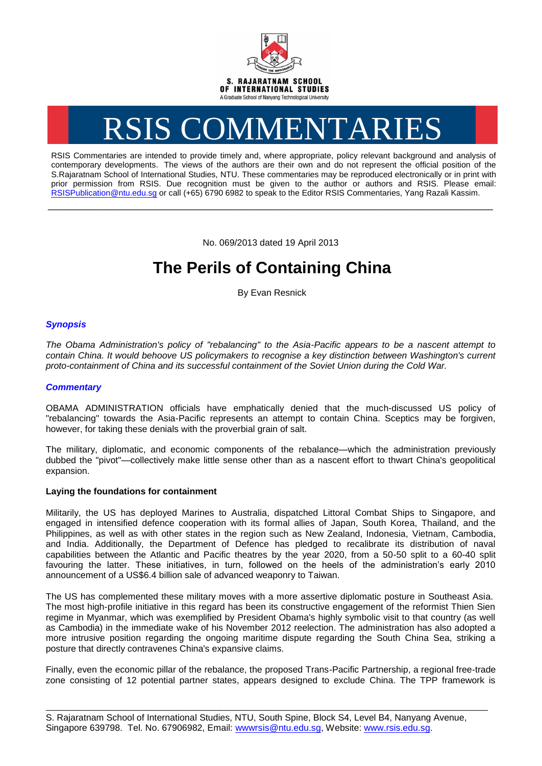

# RSIS COMMENTARIES

RSIS Commentaries are intended to provide timely and, where appropriate, policy relevant background and analysis of contemporary developments. The views of the authors are their own and do not represent the official position of the S.Rajaratnam School of International Studies, NTU. These commentaries may be reproduced electronically or in print with prior permission from RSIS. Due recognition must be given to the author or authors and RSIS. Please email: [RSISPublication@ntu.edu.sg](mailto:RSISPublication@ntu.edu.sg) or call (+65) 6790 6982 to speak to the Editor RSIS Commentaries, Yang Razali Kassim.

No. 069/2013 dated 19 April 2013

**\_\_\_\_\_\_\_\_\_\_\_\_\_\_\_\_\_\_\_\_\_\_\_\_\_\_\_\_\_\_\_\_\_\_\_\_\_\_\_\_\_\_\_\_\_\_\_\_\_\_\_\_\_\_\_\_\_\_\_\_\_\_\_\_\_\_\_\_\_\_\_\_\_\_\_\_\_\_\_\_\_\_\_\_\_\_\_\_\_\_\_\_\_\_\_\_\_\_**

# **The Perils of Containing China**

By Evan Resnick

## *Synopsis*

*The Obama Administration's policy of "rebalancing" to the Asia-Pacific appears to be a nascent attempt to contain China. It would behoove US policymakers to recognise a key distinction between Washington's current proto-containment of China and its successful containment of the Soviet Union during the Cold War.*

### *Commentary*

OBAMA ADMINISTRATION officials have emphatically denied that the much-discussed US policy of "rebalancing" towards the Asia-Pacific represents an attempt to contain China. Sceptics may be forgiven, however, for taking these denials with the proverbial grain of salt.

The military, diplomatic, and economic components of the rebalance—which the administration previously dubbed the "pivot"—collectively make little sense other than as a nascent effort to thwart China's geopolitical expansion.

#### **Laying the foundations for containment**

Militarily, the US has deployed Marines to Australia, dispatched Littoral Combat Ships to Singapore, and engaged in intensified defence cooperation with its formal allies of Japan, South Korea, Thailand, and the Philippines, as well as with other states in the region such as New Zealand, Indonesia, Vietnam, Cambodia, and India. Additionally, the Department of Defence has pledged to recalibrate its distribution of naval capabilities between the Atlantic and Pacific theatres by the year 2020, from a 50-50 split to a 60-40 split favouring the latter. These initiatives, in turn, followed on the heels of the administration's early 2010 announcement of a US\$6.4 billion sale of advanced weaponry to Taiwan.

The US has complemented these military moves with a more assertive diplomatic posture in Southeast Asia. The most high-profile initiative in this regard has been its constructive engagement of the reformist Thien Sien regime in Myanmar, which was exemplified by President Obama's highly symbolic visit to that country (as well as Cambodia) in the immediate wake of his November 2012 reelection. The administration has also adopted a more intrusive position regarding the ongoing maritime dispute regarding the South China Sea, striking a posture that directly contravenes China's expansive claims.

Finally, even the economic pillar of the rebalance, the proposed Trans-Pacific Partnership, a regional free-trade zone consisting of 12 potential partner states, appears designed to exclude China. The TPP framework is

\_\_\_\_\_\_\_\_\_\_\_\_\_\_\_\_\_\_\_\_\_\_\_\_\_\_\_\_\_\_\_\_\_\_\_\_\_\_\_\_\_\_\_\_\_\_\_\_\_\_\_\_\_\_\_\_\_\_\_\_\_\_\_\_\_\_\_\_\_\_\_\_\_\_\_\_\_\_\_\_\_